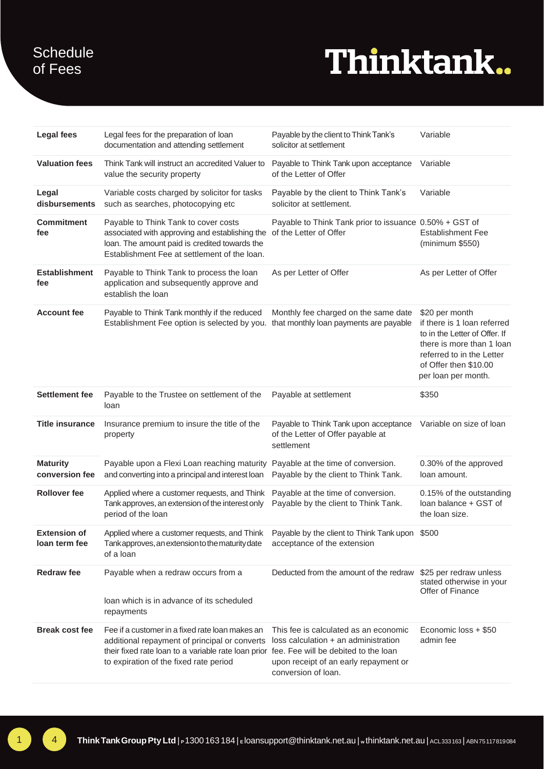### **Schedule** of Fees

## Thinktank..

| <b>Legal fees</b>                    | Legal fees for the preparation of loan<br>documentation and attending settlement                                                                                                                                                       | Payable by the client to Think Tank's<br>solicitor at settlement                                                                              | Variable                                                                                                                                                                                 |
|--------------------------------------|----------------------------------------------------------------------------------------------------------------------------------------------------------------------------------------------------------------------------------------|-----------------------------------------------------------------------------------------------------------------------------------------------|------------------------------------------------------------------------------------------------------------------------------------------------------------------------------------------|
| <b>Valuation fees</b>                | Think Tank will instruct an accredited Valuer to<br>value the security property                                                                                                                                                        | Payable to Think Tank upon acceptance<br>of the Letter of Offer                                                                               | Variable                                                                                                                                                                                 |
| Legal<br>disbursements               | Variable costs charged by solicitor for tasks<br>such as searches, photocopying etc                                                                                                                                                    | Payable by the client to Think Tank's<br>solicitor at settlement.                                                                             | Variable                                                                                                                                                                                 |
| <b>Commitment</b><br>fee             | Payable to Think Tank to cover costs<br>associated with approving and establishing the of the Letter of Offer<br>loan. The amount paid is credited towards the<br>Establishment Fee at settlement of the loan.                         | Payable to Think Tank prior to issuance 0.50% + GST of                                                                                        | <b>Establishment Fee</b><br>(minimum \$550)                                                                                                                                              |
| <b>Establishment</b><br>fee          | Payable to Think Tank to process the loan<br>application and subsequently approve and<br>establish the loan                                                                                                                            | As per Letter of Offer                                                                                                                        | As per Letter of Offer                                                                                                                                                                   |
| <b>Account fee</b>                   | Payable to Think Tank monthly if the reduced<br>Establishment Fee option is selected by you. that monthly loan payments are payable                                                                                                    | Monthly fee charged on the same date                                                                                                          | \$20 per month<br>if there is 1 loan referred<br>to in the Letter of Offer. If<br>there is more than 1 loan<br>referred to in the Letter<br>of Offer then \$10.00<br>per loan per month. |
| <b>Settlement fee</b>                | Payable to the Trustee on settlement of the<br>loan                                                                                                                                                                                    | Payable at settlement                                                                                                                         | \$350                                                                                                                                                                                    |
| <b>Title insurance</b>               | Insurance premium to insure the title of the<br>property                                                                                                                                                                               | Payable to Think Tank upon acceptance<br>of the Letter of Offer payable at<br>settlement                                                      | Variable on size of loan                                                                                                                                                                 |
| <b>Maturity</b><br>conversion fee    | Payable upon a Flexi Loan reaching maturity<br>and converting into a principal and interest loan                                                                                                                                       | Payable at the time of conversion.<br>Payable by the client to Think Tank.                                                                    | 0.30% of the approved<br>loan amount.                                                                                                                                                    |
| <b>Rollover fee</b>                  | Applied where a customer requests, and Think<br>Tank approves, an extension of the interest only<br>period of the loan                                                                                                                 | Payable at the time of conversion.<br>Payable by the client to Think Tank.                                                                    | 0.15% of the outstanding<br>loan balance + GST of<br>the loan size.                                                                                                                      |
| <b>Extension of</b><br>loan term fee | Applied where a customer requests, and Think Payable by the client to Think Tank upon<br>Tank approves, an extension to the maturity date<br>of a loan                                                                                 | acceptance of the extension                                                                                                                   | \$500                                                                                                                                                                                    |
| <b>Redraw fee</b>                    | Payable when a redraw occurs from a<br>loan which is in advance of its scheduled<br>repayments                                                                                                                                         | Deducted from the amount of the redraw                                                                                                        | \$25 per redraw unless<br>stated otherwise in your<br>Offer of Finance                                                                                                                   |
| <b>Break cost fee</b>                | Fee if a customer in a fixed rate loan makes an<br>additional repayment of principal or converts<br>their fixed rate loan to a variable rate loan prior fee. Fee will be debited to the loan<br>to expiration of the fixed rate period | This fee is calculated as an economic<br>loss calculation + an administration<br>upon receipt of an early repayment or<br>conversion of loan. | Economic loss + \$50<br>admin fee                                                                                                                                                        |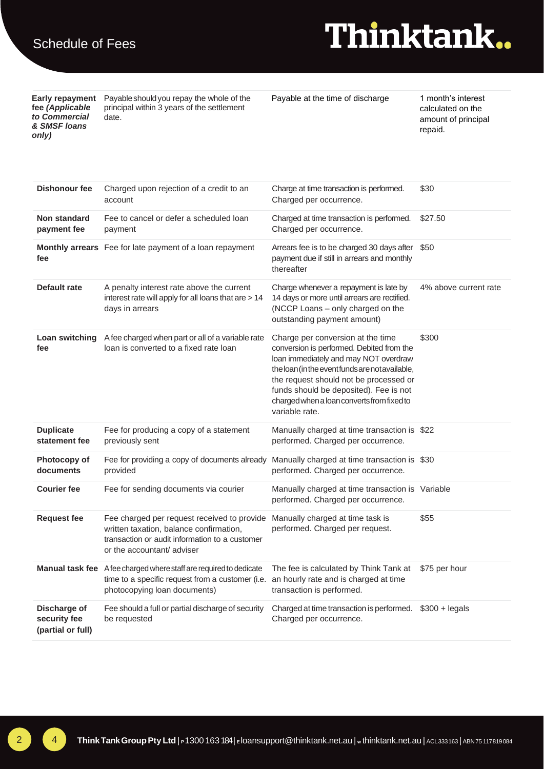**fee** *(Applicable to Commercial & SMSF loans only)*

**Early repayment**  Payableshouldyou repay the whole of the principal within 3 years of the settlement date.

Payable at the time of discharge 1 month's interest

calculated on the amount of principal repaid.

| <b>Dishonour fee</b>               | Charged upon rejection of a credit to an<br>account                                                                                                                   | Charge at time transaction is performed.<br>Charged per occurrence.                                                                                                                                                                                                                                                            | \$30                  |
|------------------------------------|-----------------------------------------------------------------------------------------------------------------------------------------------------------------------|--------------------------------------------------------------------------------------------------------------------------------------------------------------------------------------------------------------------------------------------------------------------------------------------------------------------------------|-----------------------|
| <b>Non standard</b><br>payment fee | Fee to cancel or defer a scheduled loan<br>payment                                                                                                                    | Charged at time transaction is performed.<br>Charged per occurrence.                                                                                                                                                                                                                                                           | \$27.50               |
| fee                                | Monthly arrears Fee for late payment of a loan repayment                                                                                                              | Arrears fee is to be charged 30 days after<br>payment due if still in arrears and monthly<br>thereafter                                                                                                                                                                                                                        | \$50                  |
| Default rate                       | A penalty interest rate above the current<br>interest rate will apply for all loans that are > 14<br>days in arrears                                                  | Charge whenever a repayment is late by<br>14 days or more until arrears are rectified.<br>(NCCP Loans - only charged on the<br>outstanding payment amount)                                                                                                                                                                     | 4% above current rate |
| Loan switching<br>fee              | A fee charged when part or all of a variable rate<br>loan is converted to a fixed rate loan                                                                           | Charge per conversion at the time<br>conversion is performed. Debited from the<br>loan immediately and may NOT overdraw<br>the loan (in the event funds are not available,<br>the request should not be processed or<br>funds should be deposited). Fee is not<br>charged when a loan converts from fixed to<br>variable rate. | \$300                 |
| <b>Duplicate</b><br>statement fee  | Fee for producing a copy of a statement<br>previously sent                                                                                                            | Manually charged at time transaction is \$22<br>performed. Charged per occurrence.                                                                                                                                                                                                                                             |                       |
| Photocopy of<br>documents          | Fee for providing a copy of documents already<br>provided                                                                                                             | Manually charged at time transaction is \$30<br>performed. Charged per occurrence.                                                                                                                                                                                                                                             |                       |
| <b>Courier fee</b>                 | Fee for sending documents via courier                                                                                                                                 | Manually charged at time transaction is Variable<br>performed. Charged per occurrence.                                                                                                                                                                                                                                         |                       |
| <b>Request fee</b>                 | Fee charged per request received to provide<br>written taxation, balance confirmation,<br>transaction or audit information to a customer<br>or the accountant/adviser | Manually charged at time task is<br>performed. Charged per request.                                                                                                                                                                                                                                                            | \$55                  |
|                                    | Manual task fee A fee charged where staff are required to dedicate<br>time to a specific request from a customer (i.e.<br>photocopying loan documents)                | The fee is calculated by Think Tank at<br>an hourly rate and is charged at time<br>transaction is performed.                                                                                                                                                                                                                   | \$75 per hour         |
| Discharge of<br>security fee       | Fee should a full or partial discharge of security<br>be requested                                                                                                    | Charged at time transaction is performed. \$300 + legals<br>Charged per occurrence.                                                                                                                                                                                                                                            |                       |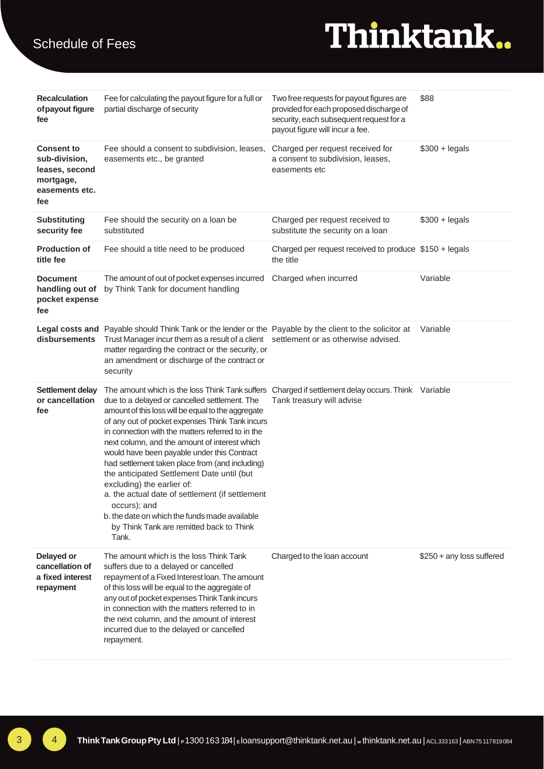# Thinktank.

| <b>Recalculation</b><br>of payout figure<br>fee                                            | Fee for calculating the payout figure for a full or<br>partial discharge of security                                                                                                                                                                                                                                                                                                                                                                                                                                                                                                                                                                                                                                      | Two free requests for payout figures are<br>provided for each proposed discharge of<br>security, each subsequent request for a<br>payout figure will incur a fee. | \$88                       |
|--------------------------------------------------------------------------------------------|---------------------------------------------------------------------------------------------------------------------------------------------------------------------------------------------------------------------------------------------------------------------------------------------------------------------------------------------------------------------------------------------------------------------------------------------------------------------------------------------------------------------------------------------------------------------------------------------------------------------------------------------------------------------------------------------------------------------------|-------------------------------------------------------------------------------------------------------------------------------------------------------------------|----------------------------|
| <b>Consent to</b><br>sub-division,<br>leases, second<br>mortgage,<br>easements etc.<br>fee | Fee should a consent to subdivision, leases,<br>easements etc., be granted                                                                                                                                                                                                                                                                                                                                                                                                                                                                                                                                                                                                                                                | Charged per request received for<br>a consent to subdivision, leases,<br>easements etc                                                                            | $$300 +$ legals            |
| <b>Substituting</b><br>security fee                                                        | Fee should the security on a loan be<br>substituted                                                                                                                                                                                                                                                                                                                                                                                                                                                                                                                                                                                                                                                                       | Charged per request received to<br>substitute the security on a loan                                                                                              | $$300 +$ legals            |
| <b>Production of</b><br>title fee                                                          | Fee should a title need to be produced                                                                                                                                                                                                                                                                                                                                                                                                                                                                                                                                                                                                                                                                                    | Charged per request received to produce \$150 + legals<br>the title                                                                                               |                            |
| <b>Document</b><br>handling out of<br>pocket expense<br>fee                                | The amount of out of pocket expenses incurred<br>by Think Tank for document handling                                                                                                                                                                                                                                                                                                                                                                                                                                                                                                                                                                                                                                      | Charged when incurred                                                                                                                                             | Variable                   |
| disbursements                                                                              | Legal costs and Payable should Think Tank or the lender or the Payable by the client to the solicitor at<br>Trust Manager incur them as a result of a client settlement or as otherwise advised.<br>matter regarding the contract or the security, or<br>an amendment or discharge of the contract or<br>security                                                                                                                                                                                                                                                                                                                                                                                                         |                                                                                                                                                                   | Variable                   |
| Settlement delay<br>or cancellation<br>fee                                                 | The amount which is the loss Think Tank suffers Charged if settlement delay occurs. Think Variable<br>due to a delayed or cancelled settlement. The<br>amount of this loss will be equal to the aggregate<br>of any out of pocket expenses Think Tank incurs<br>in connection with the matters referred to in the<br>next column, and the amount of interest which<br>would have been payable under this Contract<br>had settlement taken place from (and including)<br>the anticipated Settlement Date until (but<br>excluding) the earlier of:<br>a. the actual date of settlement (if settlement<br>occurs); and<br>b. the date on which the funds made available<br>by Think Tank are remitted back to Think<br>Tank. | Tank treasury will advise                                                                                                                                         |                            |
| Delayed or<br>cancellation of<br>a fixed interest<br>repayment                             | The amount which is the loss Think Tank<br>suffers due to a delayed or cancelled<br>repayment of a Fixed Interest loan. The amount<br>of this loss will be equal to the aggregate of<br>any out of pocket expenses Think Tank incurs<br>in connection with the matters referred to in<br>the next column, and the amount of interest<br>incurred due to the delayed or cancelled<br>repayment.                                                                                                                                                                                                                                                                                                                            | Charged to the loan account                                                                                                                                       | $$250 + any loss$ suffered |